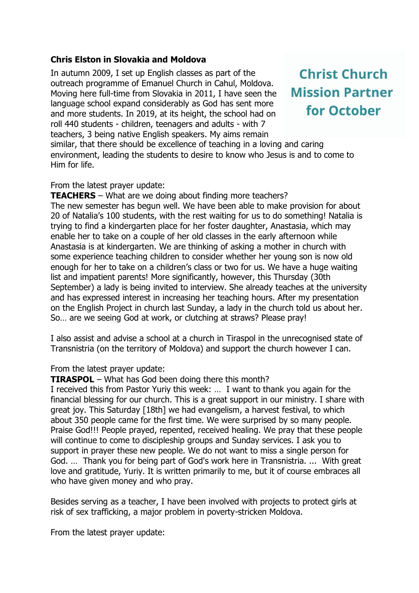## **Chris Elston in Slovakia and Moldova**

In autumn 2009, I set up English classes as part of the outreach programme of Emanuel Church in Cahul, Moldova. Moving here full-time from Slovakia in 2011, I have seen the language school expand considerably as God has sent more and more students. In 2019, at its height, the school had on roll 440 students - children, teenagers and adults - with 7 teachers, 3 being native English speakers. My aims remain similar, that there should be excellence of teaching in a loving and caring

**Christ Church Mission Partner** for October

environment, leading the students to desire to know who Jesus is and to come to Him for life.

## From the latest prayer update:

**TEACHERS** – What are we doing about finding more teachers? The new semester has begun well. We have been able to make provision for about 20 of Natalia's 100 students, with the rest waiting for us to do something! Natalia is trying to find a kindergarten place for her foster daughter, Anastasia, which may enable her to take on a couple of her old classes in the early afternoon while Anastasia is at kindergarten. We are thinking of asking a mother in church with some experience teaching children to consider whether her young son is now old enough for her to take on a children's class or two for us. We have a huge waiting list and impatient parents! More significantly, however, this Thursday (30th September) a lady is being invited to interview. She already teaches at the university and has expressed interest in increasing her teaching hours. After my presentation on the English Project in church last Sunday, a lady in the church told us about her. So… are we seeing God at work, or clutching at straws? Please pray!

I also assist and advise a school at a church in Tiraspol in the unrecognised state of Transnistria (on the territory of Moldova) and support the church however I can.

## From the latest prayer update:

**TIRASPOL** – What has God been doing there this month?

I received this from Pastor Yuriy this week: … I want to thank you again for the financial blessing for our church. This is a great support in our ministry. I share with great joy. This Saturday [18th] we had evangelism, a harvest festival, to which about 350 people came for the first time. We were surprised by so many people. Praise God!!! People prayed, repented, received healing. We pray that these people will continue to come to discipleship groups and Sunday services. I ask you to support in prayer these new people. We do not want to miss a single person for God. … Thank you for being part of God's work here in Transnistria. ... With great love and gratitude, Yuriy. It is written primarily to me, but it of course embraces all who have given money and who pray.

Besides serving as a teacher, I have been involved with projects to protect girls at risk of sex trafficking, a major problem in poverty-stricken Moldova.

From the latest prayer update: